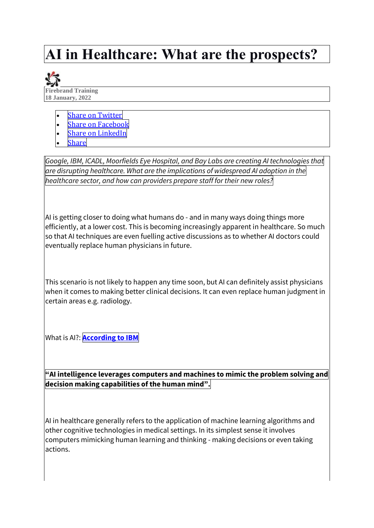# **AI in Healthcare: What are the prospects?**



- **Share on [Twitter](https://firebrand.training/uk/blog/ai-in-healthcare)**
- **Share on [Facebook](https://firebrand.training/uk/blog/ai-in-healthcare)**
- **Share on [LinkedIn](https://firebrand.training/uk/blog/ai-in-healthcare)**
- **[Share](https://firebrand.training/uk/blog/ai-in-healthcare)**

*Google, IBM, ICADL, Moorfields Eye Hospital, and Bay Labs are creating AI technologies that are disrupting healthcare. What are the implications of widespread AI adoption in the healthcare sector, and how can providers prepare staff for their new roles?*

AI is getting closer to doing what humans do - and in many ways doing things more efficiently, at a lower cost. This is becoming increasingly apparent in healthcare. So much so that AI techniques are even fuelling active discussions as to whether AI doctors could eventually replace human physicians in future.

This scenario is not likely to happen any time soon, but AI can definitely assist physicians when it comes to making better clinical decisions. It can even replace human judgment in certain areas e.g. radiology.

What is AI?: **[According](https://www.ibm.com/uk-en/cloud/learn/what-is-artificial-intelligence) to IBM**

**"AI intelligence leverages computers and machines to mimic the problem solving and decision making capabilities of the human mind".**

AI in healthcare generally refers to the application of machine learning algorithms and other cognitive technologies in medical settings. In its simplest sense it involves computers mimicking human learning and thinking - making decisions or even taking actions.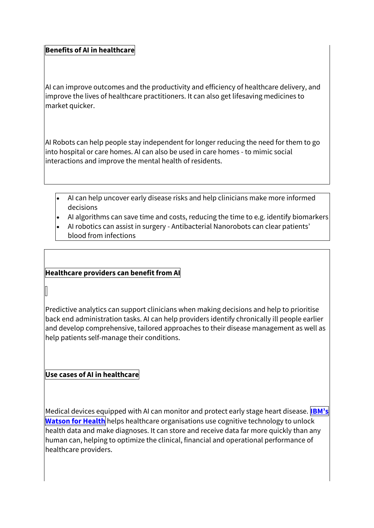#### **Benefits of AI in healthcare**

AI can improve outcomes and the productivity and efficiency of healthcare delivery, and improve the lives of healthcare practitioners. It can also get lifesaving medicines to market quicker.

AI Robots can help people stay independent for longer reducing the need for them to go into hospital or care homes. AI can also be used in care homes - to mimic social interactions and improve the mental health of residents.

- AI can help uncover early disease risks and help clinicians make more informed decisions
- AI algorithms can save time and costs, reducing the time to e.g. identify biomarkers
- AI robotics can assist in surgery Antibacterial Nanorobots can clear patients' blood from infections

#### **Healthcare providers can benefit from AI**

Predictive analytics can support clinicians when making decisions and help to prioritise back end administration tasks. AI can help providers identify chronically ill people earlier and develop comprehensive, tailored approaches to their disease management as well as help patients self-manage their conditions.

## **Use cases of AI in healthcare**

Medical devices equipped with AI can monitor and protect early stage heart disease. **[IBM's](https://www.ibm.com/uk-en/watson-health) [Watson](https://www.ibm.com/uk-en/watson-health) for Health** helps healthcare organisations use cognitive technology to unlock health data and make diagnoses. It can store and receive data far more quickly than any human can, helping to optimize the clinical, financial and operational performance of healthcare providers.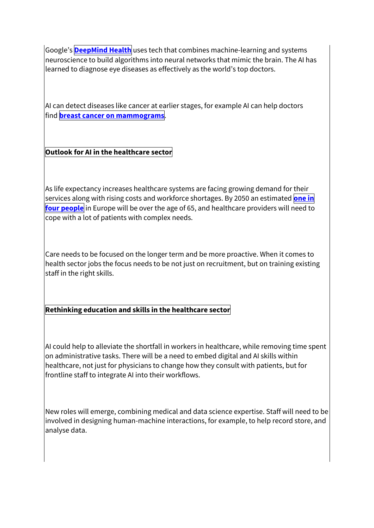Google's **[DeepMind](https://deepmind.com/about#our_story) Health** uses tech that combines machine-learning and systems neuroscience to build algorithms into neural networks that mimic the brain. The AI has learned to diagnose eye diseases as effectively as the world's top doctors.

AI can detect diseases like cancer at earlier stages, for example AI can help doctors find **breast cancer on [mammograms](https://www.nature.com/articles/s41586-019-1799-6)**.

## **Outlook for AI in the healthcare sector**

As life expectancy increases healthcare systems are facing growing demand for their services along with rising costs and workforce shortages. By 2050 an estimated **[one](https://www.mckinsey.com/industries/healthcare-systems-and-services/our-insights/transforming-healthcare-with-ai) i[n](https://www.mckinsey.com/industries/healthcare-systems-and-services/our-insights/transforming-healthcare-with-ai) four [people](https://www.mckinsey.com/industries/healthcare-systems-and-services/our-insights/transforming-healthcare-with-ai)** in Europe will be over the age of 65, and healthcare providers will need to cope with a lot of patients with complex needs.

Care needs to be focused on the longer term and be more proactive. When it comes to health sector jobs the focus needs to be not just on recruitment, but on training existing staff in the right skills.

## **Rethinking education and skills in the healthcare sector**

AI could help to alleviate the shortfall in workers in healthcare, while removing time spent on administrative tasks. There will be a need to embed digital and AI skills within healthcare, not just for physicians to change how they consult with patients, but for frontline staff to integrate AI into their workflows.

New roles will emerge, combining medical and data science expertise. Staff will need to be involved in designing human-machine interactions, for example, to help record store, and analyse data.